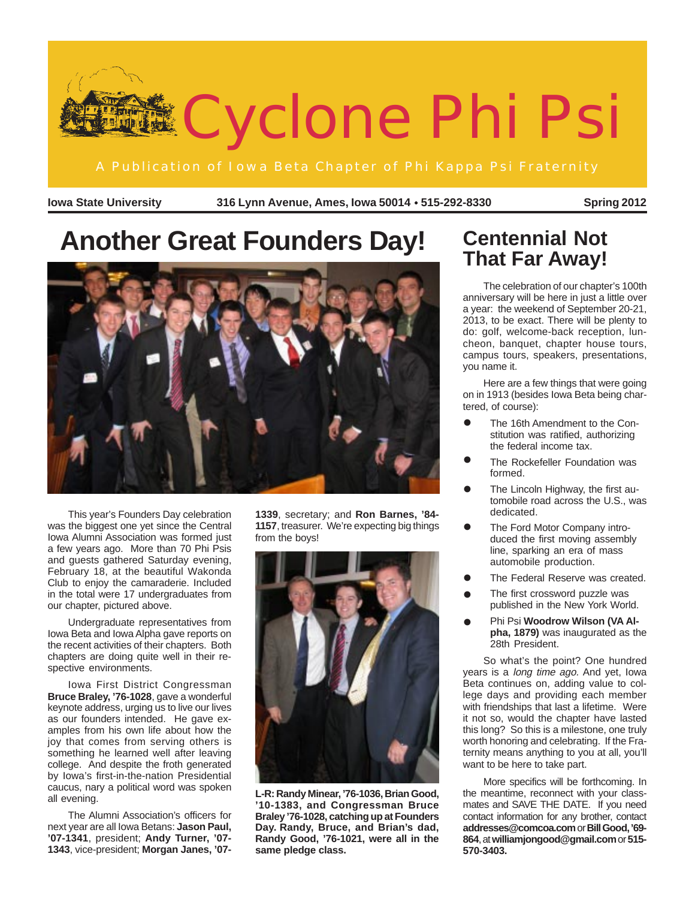

**Iowa State University 316 Lynn Avenue, Ames, Iowa 50014 515-292-8330** ● **Spring 2012**

# **Another Great Founders Day!**



This year's Founders Day celebration was the biggest one yet since the Central Iowa Alumni Association was formed just a few years ago. More than 70 Phi Psis and guests gathered Saturday evening, February 18, at the beautiful Wakonda Club to enjoy the camaraderie. Included in the total were 17 undergraduates from our chapter, pictured above.

Undergraduate representatives from Iowa Beta and Iowa Alpha gave reports on the recent activities of their chapters. Both chapters are doing quite well in their respective environments.

Iowa First District Congressman **Bruce Braley, '76-1028**, gave a wonderful keynote address, urging us to live our lives as our founders intended. He gave examples from his own life about how the joy that comes from serving others is something he learned well after leaving college. And despite the froth generated by Iowa's first-in-the-nation Presidential caucus, nary a political word was spoken all evening.

The Alumni Association's officers for next year are all Iowa Betans: **Jason Paul, '07-1341**, president; **Andy Turner, '07- 1343**, vice-president; **Morgan Janes, '07-**

**1339**, secretary; and **Ron Barnes, '84- 1157**, treasurer. We're expecting big things from the boys!



**L-R: Randy Minear, '76-1036, Brian Good, '10-1383, and Congressman Bruce Braley '76-1028, catching up at Founders Day. Randy, Bruce, and Brian's dad, Randy Good, '76-1021, were all in the same pledge class.**

### **Centennial Not That Far Away!**

The celebration of our chapter's 100th anniversary will be here in just a little over a year: the weekend of September 20-21, 2013, to be exact. There will be plenty to do: golf, welcome-back reception, luncheon, banquet, chapter house tours, campus tours, speakers, presentations, you name it.

Here are a few things that were going on in 1913 (besides Iowa Beta being chartered, of course):

- The 16th Amendment to the Constitution was ratified, authorizing the federal income tax. •
- The Rockefeller Foundation was formed. •
- The Lincoln Highway, the first automobile road across the U.S., was dedicated. •
- The Ford Motor Company introduced the first moving assembly line, sparking an era of mass automobile production. •
- The Federal Reserve was created. •<br>•
- The first crossword puzzle was published in the New York World. •
- Phi Psi **Woodrow Wilson (VA Alpha, 1879)** was inaugurated as the 28th President. •

So what's the point? One hundred years is a long time ago. And yet, lowa Beta continues on, adding value to college days and providing each member with friendships that last a lifetime. Were it not so, would the chapter have lasted this long? So this is a milestone, one truly worth honoring and celebrating. If the Fraternity means anything to you at all, you'll want to be here to take part.

More specifics will be forthcoming. In the meantime, reconnect with your classmates and SAVE THE DATE. If you need contact information for any brother, contact **addresses@comcoa.com** or **Bill Good, '69-** 864, at williamjongood@gmail.comor 515-**570-3403.**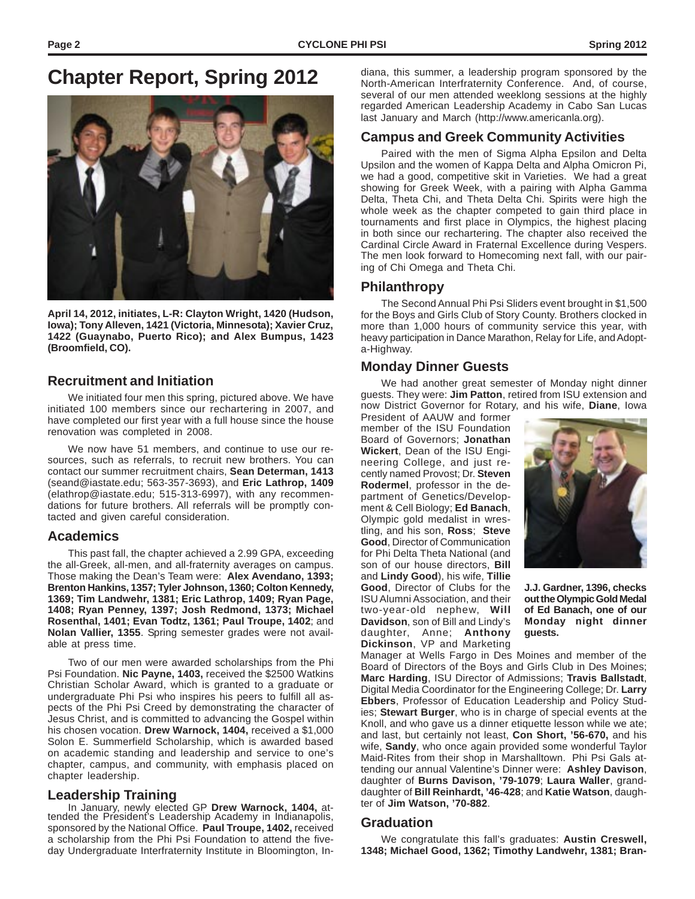## **Chapter Report, Spring 2012**



**April 14, 2012, initiates, L-R: Clayton Wright, 1420 (Hudson, Iowa); Tony Alleven, 1421 (Victoria, Minnesota); Xavier Cruz, 1422 (Guaynabo, Puerto Rico); and Alex Bumpus, 1423 (Broomfield, CO).**

#### **Recruitment and Initiation**

We initiated four men this spring, pictured above. We have initiated 100 members since our rechartering in 2007, and have completed our first year with a full house since the house renovation was completed in 2008.

We now have 51 members, and continue to use our resources, such as referrals, to recruit new brothers. You can contact our summer recruitment chairs, **Sean Determan, 1413** (seand@iastate.edu; 563-357-3693), and **Eric Lathrop, 1409** (elathrop@iastate.edu; 515-313-6997), with any recommendations for future brothers. All referrals will be promptly contacted and given careful consideration.

#### **Academics**

This past fall, the chapter achieved a 2.99 GPA, exceeding the all-Greek, all-men, and all-fraternity averages on campus. Those making the Dean's Team were: **Alex Avendano, 1393; Brenton Hankins, 1357; Tyler Johnson, 1360; Colton Kennedy, 1369; Tim Landwehr, 1381; Eric Lathrop, 1409; Ryan Page, 1408; Ryan Penney, 1397; Josh Redmond, 1373; Michael Rosenthal, 1401; Evan Todtz, 1361; Paul Troupe, 1402**; and **Nolan Vallier, 1355**. Spring semester grades were not available at press time.

Two of our men were awarded scholarships from the Phi Psi Foundation. **Nic Payne, 1403,** received the \$2500 Watkins Christian Scholar Award, which is granted to a graduate or undergraduate Phi Psi who inspires his peers to fulfill all aspects of the Phi Psi Creed by demonstrating the character of Jesus Christ, and is committed to advancing the Gospel within his chosen vocation. **Drew Warnock, 1404,** received a \$1,000 Solon E. Summerfield Scholarship, which is awarded based on academic standing and leadership and service to one's chapter, campus, and community, with emphasis placed on chapter leadership.

#### **Leadership Training**

In January, newly elected GP **Drew Warnock, 1404,** attended the President's Leadership Academy in Indianapolis, sponsored by the National Office. **Paul Troupe, 1402,** received a scholarship from the Phi Psi Foundation to attend the fiveday Undergraduate Interfraternity Institute in Bloomington, In-

diana, this summer, a leadership program sponsored by the North-American Interfraternity Conference. And, of course, several of our men attended weeklong sessions at the highly regarded American Leadership Academy in Cabo San Lucas last January and March (http://www.americanla.org).

### **Campus and Greek Community Activities**

Paired with the men of Sigma Alpha Epsilon and Delta Upsilon and the women of Kappa Delta and Alpha Omicron Pi, we had a good, competitive skit in Varieties. We had a great showing for Greek Week, with a pairing with Alpha Gamma Delta, Theta Chi, and Theta Delta Chi. Spirits were high the whole week as the chapter competed to gain third place in tournaments and first place in Olympics, the highest placing in both since our rechartering. The chapter also received the Cardinal Circle Award in Fraternal Excellence during Vespers. The men look forward to Homecoming next fall, with our pairing of Chi Omega and Theta Chi.

### **Philanthropy**

The Second Annual Phi Psi Sliders event brought in \$1,500 for the Boys and Girls Club of Story County. Brothers clocked in more than 1,000 hours of community service this year, with heavy participation in Dance Marathon, Relay for Life, and Adopta-Highway.

#### **Monday Dinner Guests**

We had another great semester of Monday night dinner guests. They were: **Jim Patton**, retired from ISU extension and now District Governor for Rotary, and his wife, **Diane**, Iowa

President of AAUW and former member of the ISU Foundation Board of Governors; **Jonathan Wickert**, Dean of the ISU Engineering College, and just recently named Provost; Dr. **Steven Rodermel**, professor in the department of Genetics/Development & Cell Biology; **Ed Banach**, Olympic gold medalist in wrestling, and his son, **Ross**; **Steve Good**, Director of Communication for Phi Delta Theta National (and son of our house directors, **Bill** and **Lindy Good**), his wife, **Tillie Good**, Director of Clubs for the ISU Alumni Association, and their two-year-old nephew, **Will Davidson**, son of Bill and Lindy's daughter, Anne; **Anthony Dickinson**, VP and Marketing



**J.J. Gardner, 1396, checks out the Olympic Gold Medal of Ed Banach, one of our Monday night dinner guests.**

Manager at Wells Fargo in Des Moines and member of the Board of Directors of the Boys and Girls Club in Des Moines; **Marc Harding**, ISU Director of Admissions; **Travis Ballstadt**, Digital Media Coordinator for the Engineering College; Dr. **Larry Ebbers**, Professor of Education Leadership and Policy Studies; **Stewart Burger**, who is in charge of special events at the Knoll, and who gave us a dinner etiquette lesson while we ate; and last, but certainly not least, **Con Short, '56-670,** and his wife, **Sandy**, who once again provided some wonderful Taylor Maid-Rites from their shop in Marshalltown. Phi Psi Gals attending our annual Valentine's Dinner were: **Ashley Davison**, daughter of **Burns Davison, '79-1079**; **Laura Waller**, granddaughter of **Bill Reinhardt, '46-428**; and **Katie Watson**, daughter of **Jim Watson, '70-882**.

#### **Graduation**

We congratulate this fall's graduates: **Austin Creswell, 1348; Michael Good, 1362; Timothy Landwehr, 1381; Bran-**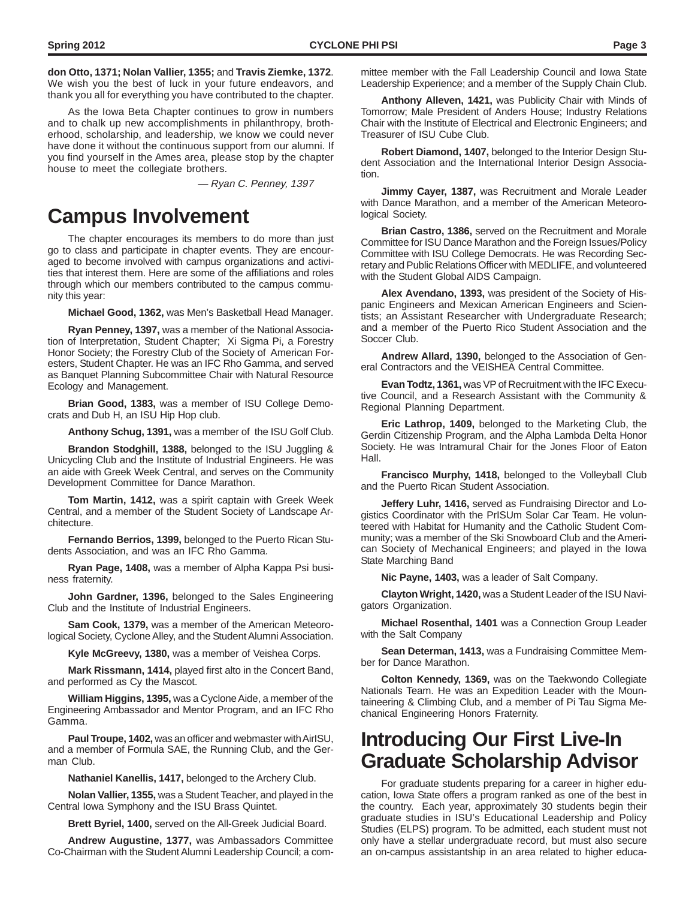**don Otto, 1371; Nolan Vallier, 1355;** and **Travis Ziemke, 1372**. We wish you the best of luck in your future endeavors, and thank you all for everything you have contributed to the chapter.

As the Iowa Beta Chapter continues to grow in numbers and to chalk up new accomplishments in philanthropy, brotherhood, scholarship, and leadership, we know we could never have done it without the continuous support from our alumni. If you find yourself in the Ames area, please stop by the chapter house to meet the collegiate brothers.

— Ryan C. Penney, 1397

### **Campus Involvement**

The chapter encourages its members to do more than just go to class and participate in chapter events. They are encouraged to become involved with campus organizations and activities that interest them. Here are some of the affiliations and roles through which our members contributed to the campus community this year:

**Michael Good, 1362,** was Men's Basketball Head Manager.

**Ryan Penney, 1397,** was a member of the National Association of Interpretation, Student Chapter; Xi Sigma Pi, a Forestry Honor Society; the Forestry Club of the Society of American Foresters, Student Chapter. He was an IFC Rho Gamma, and served as Banquet Planning Subcommittee Chair with Natural Resource Ecology and Management.

**Brian Good, 1383,** was a member of ISU College Democrats and Dub H, an ISU Hip Hop club.

**Anthony Schug, 1391,** was a member of the ISU Golf Club.

**Brandon Stodghill, 1388,** belonged to the ISU Juggling & Unicycling Club and the Institute of Industrial Engineers. He was an aide with Greek Week Central, and serves on the Community Development Committee for Dance Marathon.

**Tom Martin, 1412,** was a spirit captain with Greek Week Central, and a member of the Student Society of Landscape Architecture.

**Fernando Berrios, 1399,** belonged to the Puerto Rican Students Association, and was an IFC Rho Gamma.

**Ryan Page, 1408,** was a member of Alpha Kappa Psi business fraternity.

**John Gardner, 1396,** belonged to the Sales Engineering Club and the Institute of Industrial Engineers.

**Sam Cook, 1379,** was a member of the American Meteorological Society, Cyclone Alley, and the Student Alumni Association.

**Kyle McGreevy, 1380,** was a member of Veishea Corps.

**Mark Rissmann, 1414,** played first alto in the Concert Band, and performed as Cy the Mascot.

**William Higgins, 1395,** was a Cyclone Aide, a member of the Engineering Ambassador and Mentor Program, and an IFC Rho Gamma.

**Paul Troupe, 1402,** was an officer and webmaster with AirISU, and a member of Formula SAE, the Running Club, and the German Club.

**Nathaniel Kanellis, 1417,** belonged to the Archery Club.

**Nolan Vallier, 1355,** was a Student Teacher, and played in the Central Iowa Symphony and the ISU Brass Quintet.

**Brett Byriel, 1400,** served on the All-Greek Judicial Board.

**Andrew Augustine, 1377,** was Ambassadors Committee Co-Chairman with the Student Alumni Leadership Council; a committee member with the Fall Leadership Council and Iowa State Leadership Experience; and a member of the Supply Chain Club.

**Anthony Alleven, 1421,** was Publicity Chair with Minds of Tomorrow; Male President of Anders House; Industry Relations Chair with the Institute of Electrical and Electronic Engineers; and Treasurer of ISU Cube Club.

**Robert Diamond, 1407,** belonged to the Interior Design Student Association and the International Interior Design Association.

**Jimmy Cayer, 1387,** was Recruitment and Morale Leader with Dance Marathon, and a member of the American Meteorological Society.

**Brian Castro, 1386,** served on the Recruitment and Morale Committee for ISU Dance Marathon and the Foreign Issues/Policy Committee with ISU College Democrats. He was Recording Secretary and Public Relations Officer with MEDLIFE, and volunteered with the Student Global AIDS Campaign.

**Alex Avendano, 1393,** was president of the Society of Hispanic Engineers and Mexican American Engineers and Scientists; an Assistant Researcher with Undergraduate Research; and a member of the Puerto Rico Student Association and the Soccer Club.

**Andrew Allard, 1390,** belonged to the Association of General Contractors and the VEISHEA Central Committee.

**Evan Todtz, 1361,** was VP of Recruitment with the IFC Executive Council, and a Research Assistant with the Community & Regional Planning Department.

**Eric Lathrop, 1409,** belonged to the Marketing Club, the Gerdin Citizenship Program, and the Alpha Lambda Delta Honor Society. He was Intramural Chair for the Jones Floor of Eaton Hall.

**Francisco Murphy, 1418,** belonged to the Volleyball Club and the Puerto Rican Student Association.

**Jeffery Luhr, 1416,** served as Fundraising Director and Logistics Coordinator with the PrISUm Solar Car Team. He volunteered with Habitat for Humanity and the Catholic Student Community; was a member of the Ski Snowboard Club and the American Society of Mechanical Engineers; and played in the Iowa State Marching Band

**Nic Payne, 1403,** was a leader of Salt Company.

**Clayton Wright, 1420,** was a Student Leader of the ISU Navigators Organization.

**Michael Rosenthal, 1401** was a Connection Group Leader with the Salt Company

**Sean Determan, 1413,** was a Fundraising Committee Member for Dance Marathon.

**Colton Kennedy, 1369,** was on the Taekwondo Collegiate Nationals Team. He was an Expedition Leader with the Mountaineering & Climbing Club, and a member of Pi Tau Sigma Mechanical Engineering Honors Fraternity.

### **Introducing Our First Live-In Graduate Scholarship Advisor**

For graduate students preparing for a career in higher education, Iowa State offers a program ranked as one of the best in the country. Each year, approximately 30 students begin their graduate studies in ISU's Educational Leadership and Policy Studies (ELPS) program. To be admitted, each student must not only have a stellar undergraduate record, but must also secure an on-campus assistantship in an area related to higher educa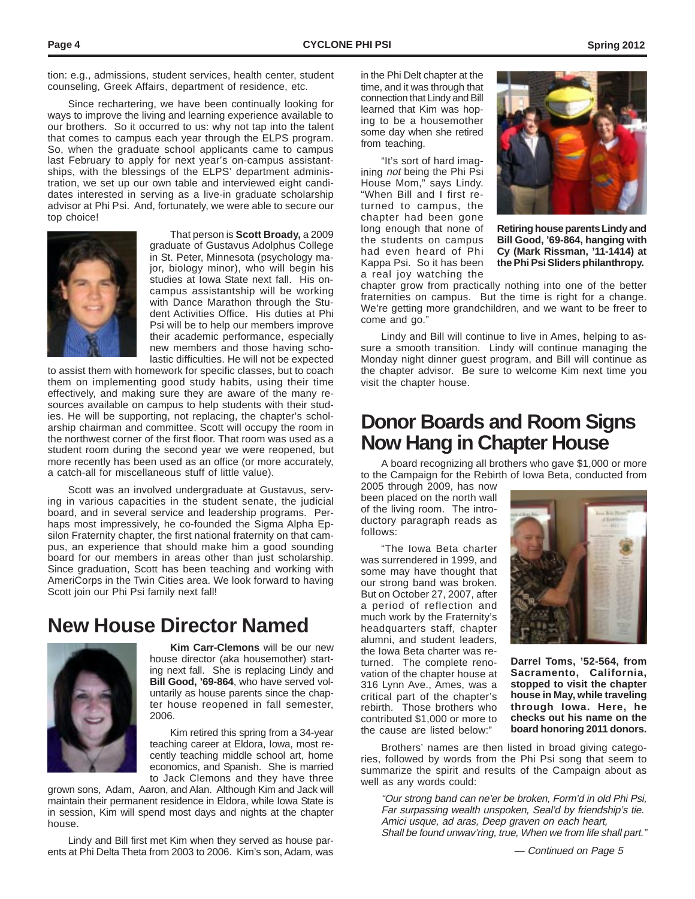tion: e.g., admissions, student services, health center, student counseling, Greek Affairs, department of residence, etc.

Since rechartering, we have been continually looking for ways to improve the living and learning experience available to our brothers. So it occurred to us: why not tap into the talent that comes to campus each year through the ELPS program. So, when the graduate school applicants came to campus last February to apply for next year's on-campus assistantships, with the blessings of the ELPS' department administration, we set up our own table and interviewed eight candidates interested in serving as a live-in graduate scholarship advisor at Phi Psi. And, fortunately, we were able to secure our top choice!



That person is **Scott Broady,** a 2009 graduate of Gustavus Adolphus College in St. Peter, Minnesota (psychology major, biology minor), who will begin his studies at Iowa State next fall. His oncampus assistantship will be working with Dance Marathon through the Student Activities Office. His duties at Phi Psi will be to help our members improve their academic performance, especially new members and those having scholastic difficulties. He will not be expected

to assist them with homework for specific classes, but to coach them on implementing good study habits, using their time effectively, and making sure they are aware of the many resources available on campus to help students with their studies. He will be supporting, not replacing, the chapter's scholarship chairman and committee. Scott will occupy the room in the northwest corner of the first floor. That room was used as a student room during the second year we were reopened, but more recently has been used as an office (or more accurately, a catch-all for miscellaneous stuff of little value).

Scott was an involved undergraduate at Gustavus, serving in various capacities in the student senate, the judicial board, and in several service and leadership programs. Perhaps most impressively, he co-founded the Sigma Alpha Epsilon Fraternity chapter, the first national fraternity on that campus, an experience that should make him a good sounding board for our members in areas other than just scholarship. Since graduation, Scott has been teaching and working with AmeriCorps in the Twin Cities area. We look forward to having Scott join our Phi Psi family next fall!

### **New House Director Named**



**Kim Carr-Clemons** will be our new house director (aka housemother) starting next fall. She is replacing Lindy and **Bill Good, '69-864**, who have served voluntarily as house parents since the chapter house reopened in fall semester, 2006.

Kim retired this spring from a 34-year teaching career at Eldora, Iowa, most recently teaching middle school art, home economics, and Spanish. She is married to Jack Clemons and they have three

grown sons, Adam, Aaron, and Alan. Although Kim and Jack will maintain their permanent residence in Eldora, while Iowa State is in session, Kim will spend most days and nights at the chapter house.

Lindy and Bill first met Kim when they served as house parents at Phi Delta Theta from 2003 to 2006. Kim's son, Adam, was  $-$  Continued on Page 5

in the Phi Delt chapter at the time, and it was through that connection that Lindy and Bill learned that Kim was hoping to be a housemother some day when she retired from teaching.

"It's sort of hard imagining not being the Phi Psi House Mom," says Lindy. "When Bill and I first returned to campus, the chapter had been gone long enough that none of the students on campus had even heard of Phi Kappa Psi. So it has been a real joy watching the



**Retiring house parents Lindy and Bill Good, '69-864, hanging with Cy (Mark Rissman, '11-1414) at the Phi Psi Sliders philanthropy.**

chapter grow from practically nothing into one of the better fraternities on campus. But the time is right for a change. We're getting more grandchildren, and we want to be freer to come and go."

Lindy and Bill will continue to live in Ames, helping to assure a smooth transition. Lindy will continue managing the Monday night dinner guest program, and Bill will continue as the chapter advisor. Be sure to welcome Kim next time you visit the chapter house.

### **Donor Boards and Room Signs Now Hang in Chapter House**

A board recognizing all brothers who gave \$1,000 or more to the Campaign for the Rebirth of Iowa Beta, conducted from

2005 through 2009, has now been placed on the north wall of the living room. The introductory paragraph reads as follows:

"The Iowa Beta charter was surrendered in 1999, and some may have thought that our strong band was broken. But on October 27, 2007, after a period of reflection and much work by the Fraternity's headquarters staff, chapter alumni, and student leaders, the Iowa Beta charter was returned. The complete renovation of the chapter house at 316 Lynn Ave., Ames, was a critical part of the chapter's rebirth. Those brothers who contributed \$1,000 or more to the cause are listed below:"



**Darrel Toms, '52-564, from Sacramento, California, stopped to visit the chapter house in May, while traveling through Iowa. Here, he checks out his name on the board honoring 2011 donors.**

Brothers' names are then listed in broad giving categories, followed by words from the Phi Psi song that seem to summarize the spirit and results of the Campaign about as well as any words could:

"Our strong band can ne'er be broken, Form'd in old Phi Psi, Far surpassing wealth unspoken, Seal'd by friendship's tie. Amici usque, ad aras, Deep graven on each heart, Shall be found unwav'ring, true, When we from life shall part."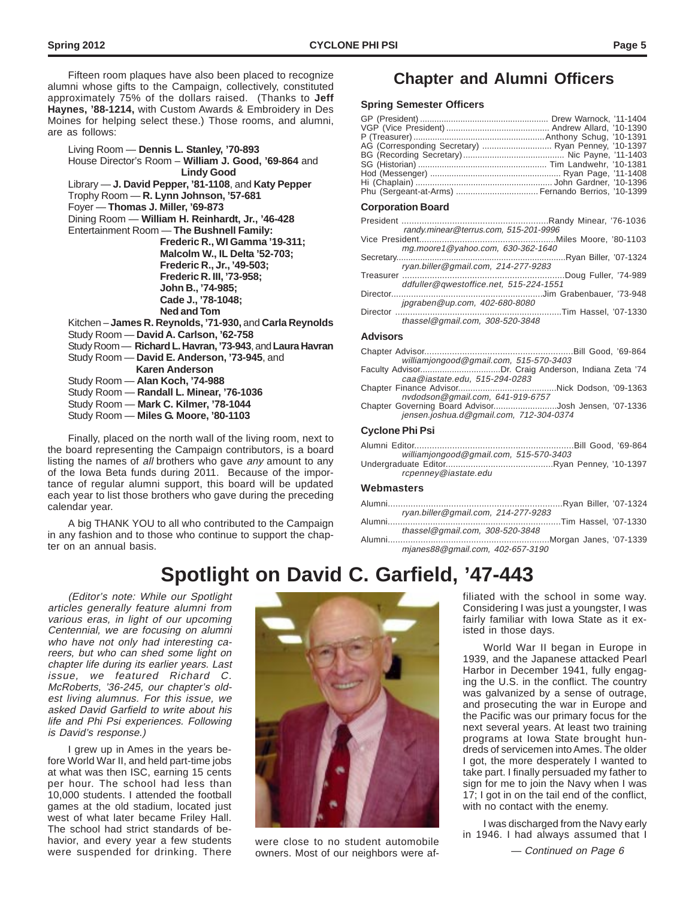Fifteen room plaques have also been placed to recognize **Chapter and Alumni Officers** alumni whose gifts to the Campaign, collectively, constituted approximately 75% of the dollars raised. (Thanks to **Jeff Haynes, '88-1214,** with Custom Awards & Embroidery in Des Moines for helping select these.) Those rooms, and alumni, are as follows:

Living Room — **Dennis L. Stanley, '70-893** House Director's Room – **William J. Good, '69-864** and  **Lindy Good** Library — **J. David Pepper, '81-1108**, and **Katy Pepper** Trophy Room — **R. Lynn Johnson, '57-681** Foyer — **Thomas J. Miller, '69-873** Dining Room — **William H. Reinhardt, Jr., '46-428** Entertainment Room — **The Bushnell Family: Frederic R., WI Gamma '19-311; Malcolm W., IL Delta '52-703; Frederic R., Jr., '49-503; Frederic R. III, '73-958; John B., '74-985; Cade J., '78-1048; Ned and Tom** Kitchen – **James R. Reynolds, '71-930,** and **Carla Reynolds** Study Room — **David A. Carlson, '62-758** Study Room — **Richard L. Havran, '73-943**, and **Laura Havran** Study Room — **David E. Anderson, '73-945**, and  **Karen Anderson** Study Room — **Alan Koch, '74-988** Study Room — **Randall L. Minear, '76-1036** Study Room — **Mark C. Kilmer, '78-1044** Study Room — **Miles G. Moore, '80-1103**

Finally, placed on the north wall of the living room, next to the board representing the Campaign contributors, is a board listing the names of all brothers who gave any amount to any of the Iowa Beta funds during 2011. Because of the importance of regular alumni support, this board will be updated each year to list those brothers who gave during the preceding calendar year.

A big THANK YOU to all who contributed to the Campaign in any fashion and to those who continue to support the chapter on an annual basis.

#### **Spring Semester Officers**

| AG (Corresponding Secretary)  Ryan Penney, '10-1397 |  |
|-----------------------------------------------------|--|
|                                                     |  |
|                                                     |  |
|                                                     |  |
|                                                     |  |
| Phu (Sergeant-at-Arms)  Fernando Berrios, '10-1399  |  |

#### **Corporation Board**

| randy.minear@terrus.com, 515-201-9996  |  |
|----------------------------------------|--|
|                                        |  |
| mg.moore1@yahoo.com, 630-362-1640      |  |
|                                        |  |
| ryan.biller@gmail.com, 214-277-9283    |  |
|                                        |  |
| ddfuller@qwestoffice.net, 515-224-1551 |  |
|                                        |  |
| jpgraben@up.com, 402-680-8080          |  |
|                                        |  |
| thassel@gmail.com, $308-520-3848$      |  |
| Advisors                               |  |

#### **Advisors**

|  | williamjongood@gmail.com, 515-570-3403 |  |  |  |  |  |  |
|--|----------------------------------------|--|--|--|--|--|--|
|  |                                        |  |  |  |  |  |  |

- Faculty Advisor.................................Dr. Craig Anderson, Indiana Zeta '74 caa@iastate.edu, 515-294-0283
- Chapter Finance Advisor........................................Nick Dodson, '09-1363 nvdodson@gmail.com, 641-919-6757<br>overning Board Advisor.........................Josh Jensen, '07-1336

Chapter Governing Board Advisor..........................Josh Jensen, '07-1336 jensen.joshua.d@gmail.com, 712-304-0374

#### **Cyclone Phi Psi**

| williamjongood@gmail.com, 515-570-3403 |                      |
|----------------------------------------|----------------------|
| <b>Ilnderaraduate Editor</b>           | Ryan Penney '10-1397 |

Undergraduate Editor...........................................Ryan Penney, '10-1397 rcpenney@iastate.edu

#### **Webmasters**

| ryan.biller@gmail.com, 214-277-9283 |  |  |
|-------------------------------------|--|--|
|                                     |  |  |

thassel@gmail.com, 308-520-3848 ...Morgan Janes, '07-1339 mjanes88@gmail.com, 402-657-3190

### **Spotlight on David C. Garfield, '47-443**

(Editor's note: While our Spotlight articles generally feature alumni from various eras, in light of our upcoming Centennial, we are focusing on alumni who have not only had interesting careers, but who can shed some light on chapter life during its earlier years. Last issue, we featured Richard C. McRoberts, '36-245, our chapter's oldest living alumnus. For this issue, we asked David Garfield to write about his life and Phi Psi experiences. Following is David's response.)

I grew up in Ames in the years before World War II, and held part-time jobs at what was then ISC, earning 15 cents per hour. The school had less than 10,000 students. I attended the football games at the old stadium, located just west of what later became Friley Hall. The school had strict standards of behavior, and every year a few students were suspended for drinking. There — owners. Most of our neighbors were af-  $\overline{C}$  - Continued on Page 6



were close to no student automobile owners. Most of our neighbors were af-

filiated with the school in some way. Considering I was just a youngster, I was fairly familiar with Iowa State as it existed in those days.

World War II began in Europe in 1939, and the Japanese attacked Pearl Harbor in December 1941, fully engaging the U.S. in the conflict. The country was galvanized by a sense of outrage, and prosecuting the war in Europe and the Pacific was our primary focus for the next several years. At least two training programs at Iowa State brought hundreds of servicemen into Ames. The older I got, the more desperately I wanted to take part. I finally persuaded my father to sign for me to join the Navy when I was 17; I got in on the tail end of the conflict, with no contact with the enemy.

I was discharged from the Navy early in 1946. I had always assumed that I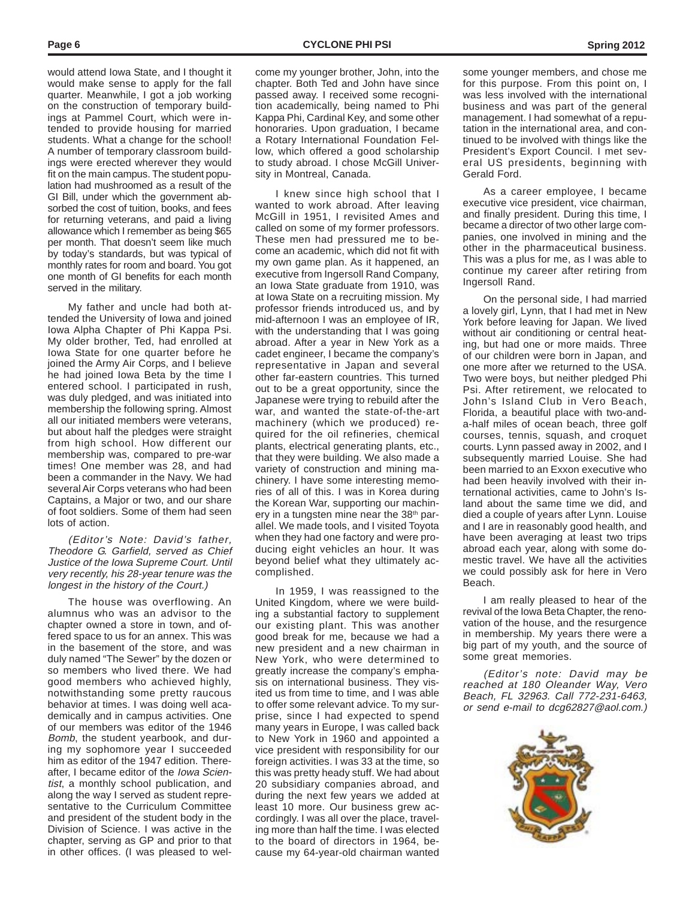would attend Iowa State, and I thought it would make sense to apply for the fall quarter. Meanwhile, I got a job working on the construction of temporary buildings at Pammel Court, which were intended to provide housing for married students. What a change for the school! A number of temporary classroom buildings were erected wherever they would fit on the main campus. The student population had mushroomed as a result of the GI Bill, under which the government absorbed the cost of tuition, books, and fees for returning veterans, and paid a living allowance which I remember as being \$65 per month. That doesn't seem like much by today's standards, but was typical of monthly rates for room and board. You got one month of GI benefits for each month served in the military.

My father and uncle had both attended the University of Iowa and joined Iowa Alpha Chapter of Phi Kappa Psi. My older brother, Ted, had enrolled at Iowa State for one quarter before he joined the Army Air Corps, and I believe he had joined Iowa Beta by the time I entered school. I participated in rush, was duly pledged, and was initiated into membership the following spring. Almost all our initiated members were veterans, but about half the pledges were straight from high school. How different our membership was, compared to pre-war times! One member was 28, and had been a commander in the Navy. We had several Air Corps veterans who had been Captains, a Major or two, and our share of foot soldiers. Some of them had seen lots of action.

(Editor's Note: David's father, Theodore G. Garfield, served as Chief Justice of the Iowa Supreme Court. Until very recently, his 28-year tenure was the longest in the history of the Court.)

The house was overflowing. An alumnus who was an advisor to the chapter owned a store in town, and offered space to us for an annex. This was in the basement of the store, and was duly named "The Sewer" by the dozen or so members who lived there. We had good members who achieved highly, notwithstanding some pretty raucous behavior at times. I was doing well academically and in campus activities. One of our members was editor of the 1946 Bomb, the student yearbook, and during my sophomore year I succeeded him as editor of the 1947 edition. Thereafter, I became editor of the Iowa Scientist, a monthly school publication, and along the way I served as student representative to the Curriculum Committee and president of the student body in the Division of Science. I was active in the chapter, serving as GP and prior to that in other offices. (I was pleased to welcome my younger brother, John, into the chapter. Both Ted and John have since passed away. I received some recognition academically, being named to Phi Kappa Phi, Cardinal Key, and some other honoraries. Upon graduation, I became a Rotary International Foundation Fellow, which offered a good scholarship to study abroad. I chose McGill University in Montreal, Canada.

I knew since high school that I wanted to work abroad. After leaving McGill in 1951, I revisited Ames and called on some of my former professors. These men had pressured me to become an academic, which did not fit with my own game plan. As it happened, an executive from Ingersoll Rand Company, an Iowa State graduate from 1910, was at Iowa State on a recruiting mission. My professor friends introduced us, and by mid-afternoon I was an employee of IR, with the understanding that I was going abroad. After a year in New York as a cadet engineer, I became the company's representative in Japan and several other far-eastern countries. This turned out to be a great opportunity, since the Japanese were trying to rebuild after the war, and wanted the state-of-the-art machinery (which we produced) required for the oil refineries, chemical plants, electrical generating plants, etc., that they were building. We also made a variety of construction and mining machinery. I have some interesting memories of all of this. I was in Korea during the Korean War, supporting our machinery in a tungsten mine near the 38<sup>th</sup> parallel. We made tools, and I visited Toyota when they had one factory and were producing eight vehicles an hour. It was beyond belief what they ultimately accomplished.

In 1959, I was reassigned to the United Kingdom, where we were building a substantial factory to supplement our existing plant. This was another good break for me, because we had a new president and a new chairman in New York, who were determined to greatly increase the company's emphasis on international business. They visited us from time to time, and I was able to offer some relevant advice. To my surprise, since I had expected to spend many years in Europe, I was called back to New York in 1960 and appointed a vice president with responsibility for our foreign activities. I was 33 at the time, so this was pretty heady stuff. We had about 20 subsidiary companies abroad, and during the next few years we added at least 10 more. Our business grew accordingly. I was all over the place, traveling more than half the time. I was elected to the board of directors in 1964, because my 64-year-old chairman wanted

some younger members, and chose me for this purpose. From this point on, I was less involved with the international business and was part of the general management. I had somewhat of a reputation in the international area, and continued to be involved with things like the President's Export Council. I met several US presidents, beginning with Gerald Ford.

As a career employee, I became executive vice president, vice chairman, and finally president. During this time, I became a director of two other large companies, one involved in mining and the other in the pharmaceutical business. This was a plus for me, as I was able to continue my career after retiring from Ingersoll Rand.

On the personal side, I had married a lovely girl, Lynn, that I had met in New York before leaving for Japan. We lived without air conditioning or central heating, but had one or more maids. Three of our children were born in Japan, and one more after we returned to the USA. Two were boys, but neither pledged Phi Psi. After retirement, we relocated to John's Island Club in Vero Beach, Florida, a beautiful place with two-anda-half miles of ocean beach, three golf courses, tennis, squash, and croquet courts. Lynn passed away in 2002, and I subsequently married Louise. She had been married to an Exxon executive who had been heavily involved with their international activities, came to John's Island about the same time we did, and died a couple of years after Lynn. Louise and I are in reasonably good health, and have been averaging at least two trips abroad each year, along with some domestic travel. We have all the activities we could possibly ask for here in Vero Beach.

I am really pleased to hear of the revival of the Iowa Beta Chapter, the renovation of the house, and the resurgence in membership. My years there were a big part of my youth, and the source of some great memories.

(Editor's note: David may be reached at 180 Oleander Way, Vero Beach, FL 32963. Call 772-231-6463, or send e-mail to dcg62827@aol.com.)

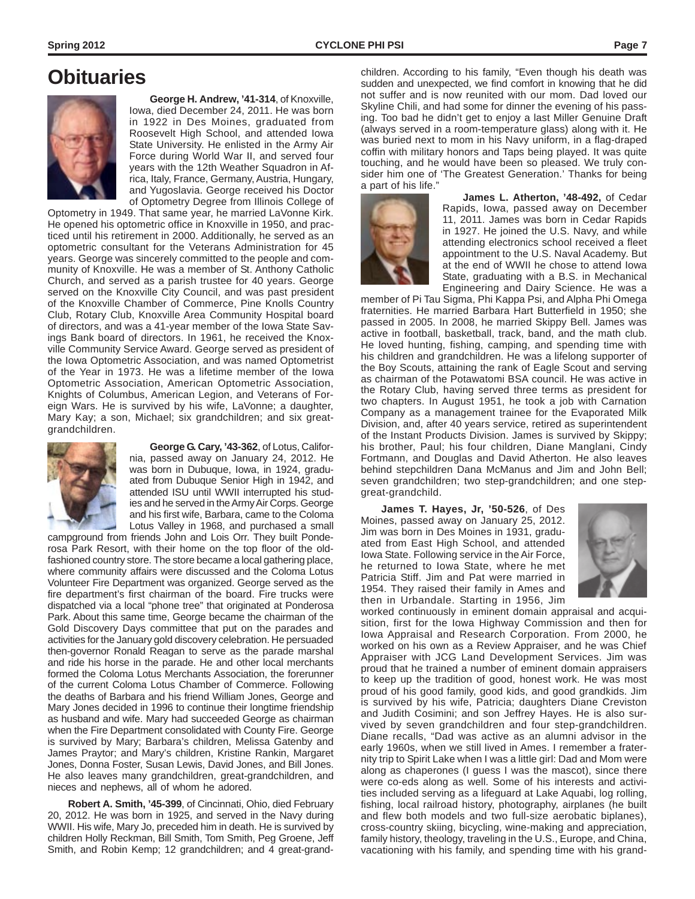### **Obituaries**



**George H. Andrew, '41-314**, of Knoxville, Iowa, died December 24, 2011. He was born in 1922 in Des Moines, graduated from Roosevelt High School, and attended Iowa State University. He enlisted in the Army Air Force during World War II, and served four years with the 12th Weather Squadron in Africa, Italy, France, Germany, Austria, Hungary, and Yugoslavia. George received his Doctor of Optometry Degree from Illinois College of

Optometry in 1949. That same year, he married LaVonne Kirk. He opened his optometric office in Knoxville in 1950, and practiced until his retirement in 2000. Additionally, he served as an optometric consultant for the Veterans Administration for 45 years. George was sincerely committed to the people and community of Knoxville. He was a member of St. Anthony Catholic Church, and served as a parish trustee for 40 years. George served on the Knoxville City Council, and was past president of the Knoxville Chamber of Commerce, Pine Knolls Country Club, Rotary Club, Knoxville Area Community Hospital board of directors, and was a 41-year member of the Iowa State Savings Bank board of directors. In 1961, he received the Knoxville Community Service Award. George served as president of the Iowa Optometric Association, and was named Optometrist of the Year in 1973. He was a lifetime member of the Iowa Optometric Association, American Optometric Association, Knights of Columbus, American Legion, and Veterans of Foreign Wars. He is survived by his wife, LaVonne; a daughter, Mary Kay; a son, Michael; six grandchildren; and six greatgrandchildren.



**George G. Cary, '43-362**, of Lotus, California, passed away on January 24, 2012. He was born in Dubuque, Iowa, in 1924, graduated from Dubuque Senior High in 1942, and attended ISU until WWII interrupted his studies and he served in the Army Air Corps. George and his first wife, Barbara, came to the Coloma Lotus Valley in 1968, and purchased a small

campground from friends John and Lois Orr. They built Ponderosa Park Resort, with their home on the top floor of the oldfashioned country store. The store became a local gathering place, where community affairs were discussed and the Coloma Lotus Volunteer Fire Department was organized. George served as the fire department's first chairman of the board. Fire trucks were dispatched via a local "phone tree" that originated at Ponderosa Park. About this same time, George became the chairman of the Gold Discovery Days committee that put on the parades and activities for the January gold discovery celebration. He persuaded then-governor Ronald Reagan to serve as the parade marshal and ride his horse in the parade. He and other local merchants formed the Coloma Lotus Merchants Association, the forerunner of the current Coloma Lotus Chamber of Commerce. Following the deaths of Barbara and his friend William Jones, George and Mary Jones decided in 1996 to continue their longtime friendship as husband and wife. Mary had succeeded George as chairman when the Fire Department consolidated with County Fire. George is survived by Mary; Barbara's children, Melissa Gatenby and James Praytor; and Mary's children, Kristine Rankin, Margaret Jones, Donna Foster, Susan Lewis, David Jones, and Bill Jones. He also leaves many grandchildren, great-grandchildren, and nieces and nephews, all of whom he adored.

**Robert A. Smith, '45-399**, of Cincinnati, Ohio, died February 20, 2012. He was born in 1925, and served in the Navy during WWII. His wife, Mary Jo, preceded him in death. He is survived by children Holly Reckman, Bill Smith, Tom Smith, Peg Groene, Jeff Smith, and Robin Kemp; 12 grandchildren; and 4 great-grand-

children. According to his family, "Even though his death was sudden and unexpected, we find comfort in knowing that he did not suffer and is now reunited with our mom. Dad loved our Skyline Chili, and had some for dinner the evening of his passing. Too bad he didn't get to enjoy a last Miller Genuine Draft (always served in a room-temperature glass) along with it. He was buried next to mom in his Navy uniform, in a flag-draped coffin with military honors and Taps being played. It was quite touching, and he would have been so pleased. We truly consider him one of 'The Greatest Generation.' Thanks for being a part of his life."



**James L. Atherton, '48-492,** of Cedar Rapids, Iowa, passed away on December 11, 2011. James was born in Cedar Rapids in 1927. He joined the U.S. Navy, and while attending electronics school received a fleet appointment to the U.S. Naval Academy. But at the end of WWII he chose to attend Iowa State, graduating with a B.S. in Mechanical Engineering and Dairy Science. He was a

member of Pi Tau Sigma, Phi Kappa Psi, and Alpha Phi Omega fraternities. He married Barbara Hart Butterfield in 1950; she passed in 2005. In 2008, he married Skippy Bell. James was active in football, basketball, track, band, and the math club. He loved hunting, fishing, camping, and spending time with his children and grandchildren. He was a lifelong supporter of the Boy Scouts, attaining the rank of Eagle Scout and serving as chairman of the Potawatomi BSA council. He was active in the Rotary Club, having served three terms as president for two chapters. In August 1951, he took a job with Carnation Company as a management trainee for the Evaporated Milk Division, and, after 40 years service, retired as superintendent of the Instant Products Division. James is survived by Skippy; his brother, Paul; his four children, Diane Manglani, Cindy Fortmann, and Douglas and David Atherton. He also leaves behind stepchildren Dana McManus and Jim and John Bell; seven grandchildren; two step-grandchildren; and one stepgreat-grandchild.

**James T. Hayes, Jr, '50-526**, of Des Moines, passed away on January 25, 2012. Jim was born in Des Moines in 1931, graduated from East High School, and attended Iowa State. Following service in the Air Force, he returned to Iowa State, where he met Patricia Stiff. Jim and Pat were married in 1954. They raised their family in Ames and then in Urbandale. Starting in 1956, Jim



worked continuously in eminent domain appraisal and acquisition, first for the Iowa Highway Commission and then for Iowa Appraisal and Research Corporation. From 2000, he worked on his own as a Review Appraiser, and he was Chief Appraiser with JCG Land Development Services. Jim was proud that he trained a number of eminent domain appraisers to keep up the tradition of good, honest work. He was most proud of his good family, good kids, and good grandkids. Jim is survived by his wife, Patricia; daughters Diane Creviston and Judith Cosimini; and son Jeffrey Hayes. He is also survived by seven grandchildren and four step-grandchildren. Diane recalls, "Dad was active as an alumni advisor in the early 1960s, when we still lived in Ames. I remember a fraternity trip to Spirit Lake when I was a little girl: Dad and Mom were along as chaperones (I guess I was the mascot), since there were co-eds along as well. Some of his interests and activities included serving as a lifeguard at Lake Aquabi, log rolling, fishing, local railroad history, photography, airplanes (he built and flew both models and two full-size aerobatic biplanes), cross-country skiing, bicycling, wine-making and appreciation, family history, theology, traveling in the U.S., Europe, and China, vacationing with his family, and spending time with his grand